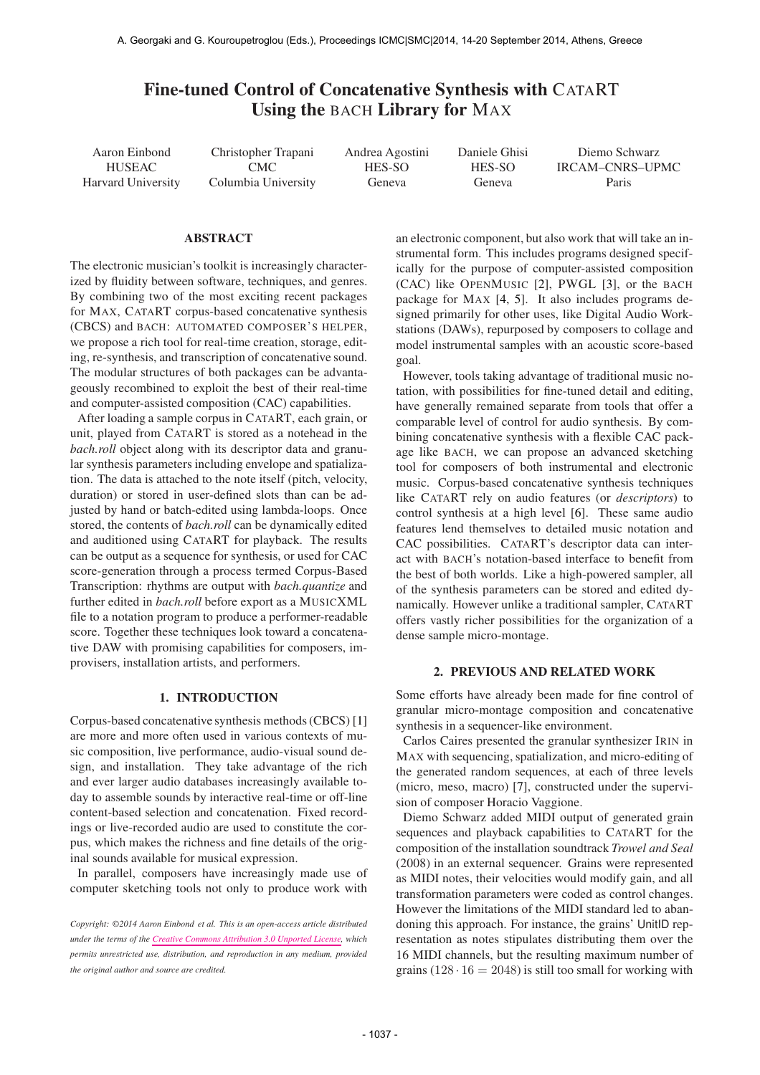# Fine-tuned Control of Concatenative Synthesis with CATART Using the BACH Library for MAX

Aaron Einbond HUSEAC Harvard University

Christopher Trapani CMC Columbia University Andrea Agostini HES-SO Geneva

Daniele Ghisi HES-SO Geneva

Diemo Schwarz IRCAM–CNRS–UPMC Paris

## ABSTRACT

The electronic musician's toolkit is increasingly characterized by fluidity between software, techniques, and genres. By combining two of the most exciting recent packages for MAX, CATART corpus-based concatenative synthesis (CBCS) and BACH: AUTOMATED COMPOSER'S HELPER, we propose a rich tool for real-time creation, storage, editing, re-synthesis, and transcription of concatenative sound. The modular structures of both packages can be advantageously recombined to exploit the best of their real-time and computer-assisted composition (CAC) capabilities.

After loading a sample corpus in CATART, each grain, or unit, played from CATART is stored as a notehead in the *bach.roll* object along with its descriptor data and granular synthesis parameters including envelope and spatialization. The data is attached to the note itself (pitch, velocity, duration) or stored in user-defined slots than can be adjusted by hand or batch-edited using lambda-loops. Once stored, the contents of *bach.roll* can be dynamically edited and auditioned using CATART for playback. The results can be output as a sequence for synthesis, or used for CAC score-generation through a process termed Corpus-Based Transcription: rhythms are output with *bach.quantize* and further edited in *bach.roll* before export as a MUSICXML file to a notation program to produce a performer-readable score. Together these techniques look toward a concatenative DAW with promising capabilities for composers, improvisers, installation artists, and performers.

## 1. INTRODUCTION

Corpus-based concatenative synthesis methods (CBCS) [1] are more and more often used in various contexts of music composition, live performance, audio-visual sound design, and installation. They take advantage of the rich and ever larger audio databases increasingly available today to assemble sounds by interactive real-time or off-line content-based selection and concatenation. Fixed recordings or live-recorded audio are used to constitute the corpus, which makes the richness and fine details of the original sounds available for musical expression.

In parallel, composers have increasingly made use of computer sketching tools not only to produce work with

*Copyright: ©2014 Aaron Einbond et al. This is an open-access article distributed under the terms of the [Creative Commons Attribution 3.0 Unported License,](http://creativecommons.org/licenses/by/3.0/) which permits unrestricted use, distribution, and reproduction in any medium, provided the original author and source are credited.*

an electronic component, but also work that will take an instrumental form. This includes programs designed specifically for the purpose of computer-assisted composition (CAC) like OPENMUSIC [2], PWGL [3], or the BACH package for MAX [4, 5]. It also includes programs designed primarily for other uses, like Digital Audio Workstations (DAWs), repurposed by composers to collage and model instrumental samples with an acoustic score-based goal.

However, tools taking advantage of traditional music notation, with possibilities for fine-tuned detail and editing, have generally remained separate from tools that offer a comparable level of control for audio synthesis. By combining concatenative synthesis with a flexible CAC package like BACH, we can propose an advanced sketching tool for composers of both instrumental and electronic music. Corpus-based concatenative synthesis techniques like CATART rely on audio features (or *descriptors*) to control synthesis at a high level [6]. These same audio features lend themselves to detailed music notation and CAC possibilities. CATART's descriptor data can interact with BACH's notation-based interface to benefit from the best of both worlds. Like a high-powered sampler, all of the synthesis parameters can be stored and edited dynamically. However unlike a traditional sampler, CATART offers vastly richer possibilities for the organization of a dense sample micro-montage.

#### 2. PREVIOUS AND RELATED WORK

Some efforts have already been made for fine control of granular micro-montage composition and concatenative synthesis in a sequencer-like environment.

Carlos Caires presented the granular synthesizer IRIN in MAX with sequencing, spatialization, and micro-editing of the generated random sequences, at each of three levels (micro, meso, macro) [7], constructed under the supervision of composer Horacio Vaggione.

Diemo Schwarz added MIDI output of generated grain sequences and playback capabilities to CATART for the composition of the installation soundtrack *Trowel and Seal* (2008) in an external sequencer. Grains were represented as MIDI notes, their velocities would modify gain, and all transformation parameters were coded as control changes. However the limitations of the MIDI standard led to abandoning this approach. For instance, the grains' UnitID representation as notes stipulates distributing them over the 16 MIDI channels, but the resulting maximum number of grains  $(128 \cdot 16 = 2048)$  is still too small for working with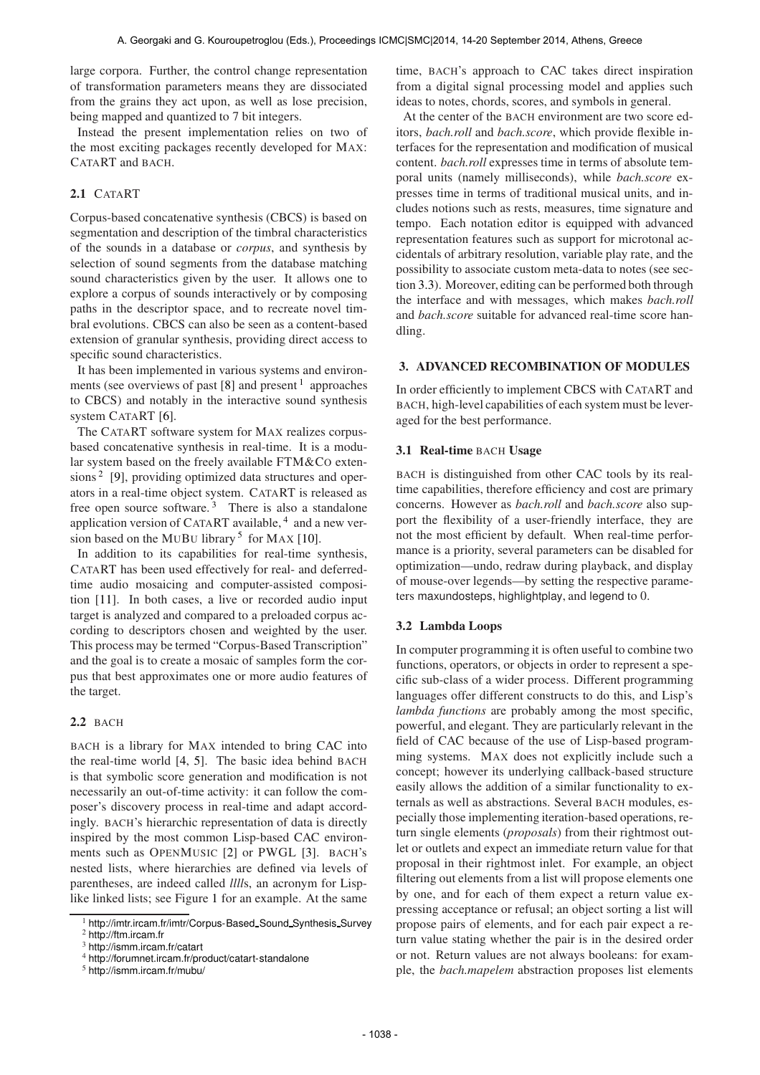large corpora. Further, the control change representation of transformation parameters means they are dissociated from the grains they act upon, as well as lose precision, being mapped and quantized to 7 bit integers.

Instead the present implementation relies on two of the most exciting packages recently developed for MAX: CATART and BACH.

# 2.1 CATART

Corpus-based concatenative synthesis (CBCS) is based on segmentation and description of the timbral characteristics of the sounds in a database or *corpus*, and synthesis by selection of sound segments from the database matching sound characteristics given by the user. It allows one to explore a corpus of sounds interactively or by composing paths in the descriptor space, and to recreate novel timbral evolutions. CBCS can also be seen as a content-based extension of granular synthesis, providing direct access to specific sound characteristics.

It has been implemented in various systems and environments (see overviews of past [8] and present <sup>1</sup> approaches to CBCS) and notably in the interactive sound synthesis system CATART [6].

The CATART software system for MAX realizes corpusbased concatenative synthesis in real-time. It is a modular system based on the freely available FTM&CO extensions<sup>2</sup> [9], providing optimized data structures and operators in a real-time object system. CATART is released as free open source software.<sup>3</sup> There is also a standalone application version of CATART available, <sup>4</sup> and a new version based on the MUBU library<sup>5</sup> for MAX [10].

In addition to its capabilities for real-time synthesis, CATART has been used effectively for real- and deferredtime audio mosaicing and computer-assisted composition [11]. In both cases, a live or recorded audio input target is analyzed and compared to a preloaded corpus according to descriptors chosen and weighted by the user. This process may be termed "Corpus-Based Transcription" and the goal is to create a mosaic of samples form the corpus that best approximates one or more audio features of the target.

## 2.2 BACH

BACH is a library for MAX intended to bring CAC into the real-time world [4, 5]. The basic idea behind BACH is that symbolic score generation and modification is not necessarily an out-of-time activity: it can follow the composer's discovery process in real-time and adapt accordingly. BACH's hierarchic representation of data is directly inspired by the most common Lisp-based CAC environments such as OPENMUSIC [2] or PWGL [3]. BACH's nested lists, where hierarchies are defined via levels of parentheses, are indeed called *llll*s, an acronym for Lisplike linked lists; see Figure 1 for an example. At the same

time, BACH's approach to CAC takes direct inspiration from a digital signal processing model and applies such ideas to notes, chords, scores, and symbols in general.

At the center of the BACH environment are two score editors, *bach.roll* and *bach.score*, which provide flexible interfaces for the representation and modification of musical content. *bach.roll* expresses time in terms of absolute temporal units (namely milliseconds), while *bach.score* expresses time in terms of traditional musical units, and includes notions such as rests, measures, time signature and tempo. Each notation editor is equipped with advanced representation features such as support for microtonal accidentals of arbitrary resolution, variable play rate, and the possibility to associate custom meta-data to notes (see section 3.3). Moreover, editing can be performed both through the interface and with messages, which makes *bach.roll* and *bach.score* suitable for advanced real-time score handling.

## 3. ADVANCED RECOMBINATION OF MODULES

In order efficiently to implement CBCS with CATART and BACH, high-level capabilities of each system must be leveraged for the best performance.

## 3.1 Real-time BACH Usage

BACH is distinguished from other CAC tools by its realtime capabilities, therefore efficiency and cost are primary concerns. However as *bach.roll* and *bach.score* also support the flexibility of a user-friendly interface, they are not the most efficient by default. When real-time performance is a priority, several parameters can be disabled for optimization—undo, redraw during playback, and display of mouse-over legends—by setting the respective parameters maxundosteps, highlightplay, and legend to 0.

## 3.2 Lambda Loops

In computer programming it is often useful to combine two functions, operators, or objects in order to represent a specific sub-class of a wider process. Different programming languages offer different constructs to do this, and Lisp's *lambda functions* are probably among the most specific, powerful, and elegant. They are particularly relevant in the field of CAC because of the use of Lisp-based programming systems. MAX does not explicitly include such a concept; however its underlying callback-based structure easily allows the addition of a similar functionality to externals as well as abstractions. Several BACH modules, especially those implementing iteration-based operations, return single elements (*proposals*) from their rightmost outlet or outlets and expect an immediate return value for that proposal in their rightmost inlet. For example, an object filtering out elements from a list will propose elements one by one, and for each of them expect a return value expressing acceptance or refusal; an object sorting a list will propose pairs of elements, and for each pair expect a return value stating whether the pair is in the desired order or not. Return values are not always booleans: for example, the *bach.mapelem* abstraction proposes list elements

<sup>&</sup>lt;sup>1</sup> [http://imtr.ircam.fr/imtr/Corpus-Based](http://imtr.ircam.fr/imtr/Corpus-Based_Sound_Synthesis_Survey)\_Sound\_Synthesis\_Survey <sup>2</sup> <http://ftm.ircam.fr>

<sup>3</sup> <http://ismm.ircam.fr/catart>

<sup>4</sup> <http://forumnet.ircam.fr/product/catart-standalone>

<sup>5</sup> <http://ismm.ircam.fr/mubu/>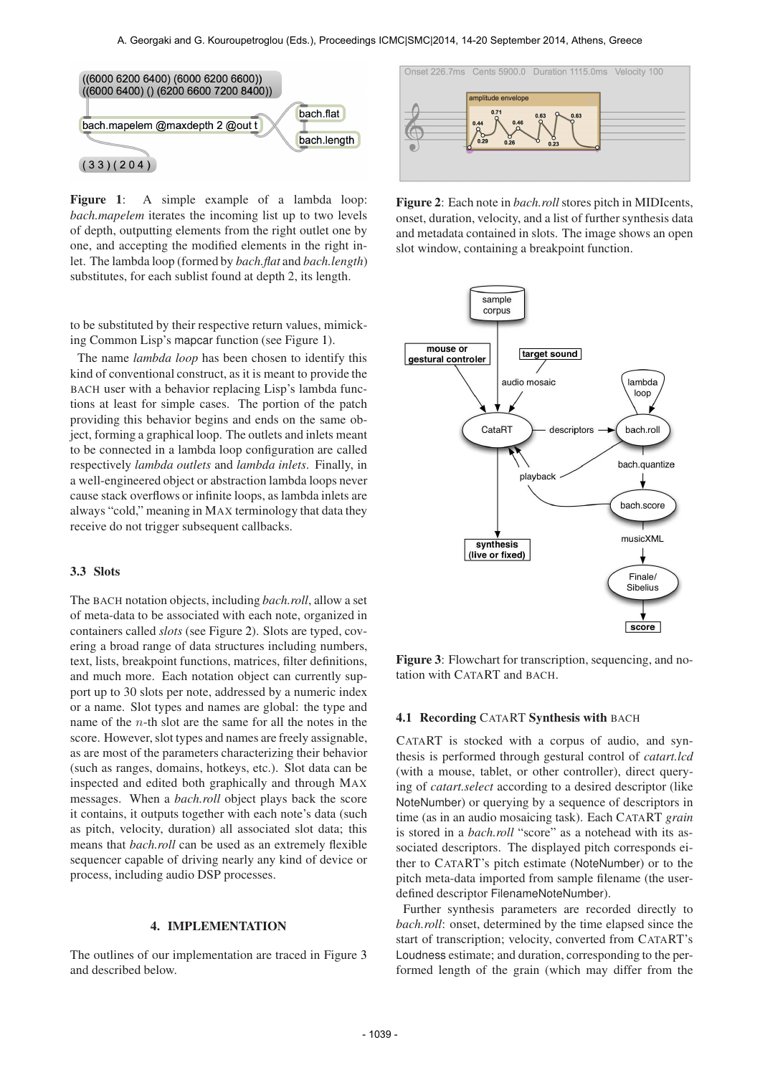

Figure 1: A simple example of a lambda loop: *bach.mapelem* iterates the incoming list up to two levels of depth, outputting elements from the right outlet one by one, and accepting the modified elements in the right inlet. The lambda loop (formed by *bach.flat* and *bach.length*) substitutes, for each sublist found at depth 2, its length.

to be substituted by their respective return values, mimicking Common Lisp's mapcar function (see Figure 1).

The name *lambda loop* has been chosen to identify this kind of conventional construct, as it is meant to provide the BACH user with a behavior replacing Lisp's lambda functions at least for simple cases. The portion of the patch providing this behavior begins and ends on the same object, forming a graphical loop. The outlets and inlets meant to be connected in a lambda loop configuration are called respectively *lambda outlets* and *lambda inlets*. Finally, in a well-engineered object or abstraction lambda loops never cause stack overflows or infinite loops, as lambda inlets are always "cold," meaning in MAX terminology that data they receive do not trigger subsequent callbacks.

#### 3.3 Slots

The BACH notation objects, including *bach.roll*, allow a set of meta-data to be associated with each note, organized in containers called *slots* (see Figure 2). Slots are typed, covering a broad range of data structures including numbers, text, lists, breakpoint functions, matrices, filter definitions, and much more. Each notation object can currently support up to 30 slots per note, addressed by a numeric index or a name. Slot types and names are global: the type and name of the n-th slot are the same for all the notes in the score. However, slot types and names are freely assignable, as are most of the parameters characterizing their behavior (such as ranges, domains, hotkeys, etc.). Slot data can be inspected and edited both graphically and through MAX messages. When a *bach.roll* object plays back the score it contains, it outputs together with each note's data (such as pitch, velocity, duration) all associated slot data; this means that *bach.roll* can be used as an extremely flexible sequencer capable of driving nearly any kind of device or process, including audio DSP processes.

#### 4. IMPLEMENTATION

The outlines of our implementation are traced in Figure 3 and described below.



Figure 2: Each note in *bach.roll* stores pitch in MIDIcents, onset, duration, velocity, and a list of further synthesis data and metadata contained in slots. The image shows an open slot window, containing a breakpoint function.



Figure 3: Flowchart for transcription, sequencing, and notation with CATART and BACH.

#### 4.1 Recording CATART Synthesis with BACH

CATART is stocked with a corpus of audio, and synthesis is performed through gestural control of *catart.lcd* (with a mouse, tablet, or other controller), direct querying of *catart.select* according to a desired descriptor (like NoteNumber) or querying by a sequence of descriptors in time (as in an audio mosaicing task). Each CATART *grain* is stored in a *bach.roll* "score" as a notehead with its associated descriptors. The displayed pitch corresponds either to CATART's pitch estimate (NoteNumber) or to the pitch meta-data imported from sample filename (the userdefined descriptor FilenameNoteNumber).

Further synthesis parameters are recorded directly to *bach.roll*: onset, determined by the time elapsed since the start of transcription; velocity, converted from CATART's Loudness estimate; and duration, corresponding to the performed length of the grain (which may differ from the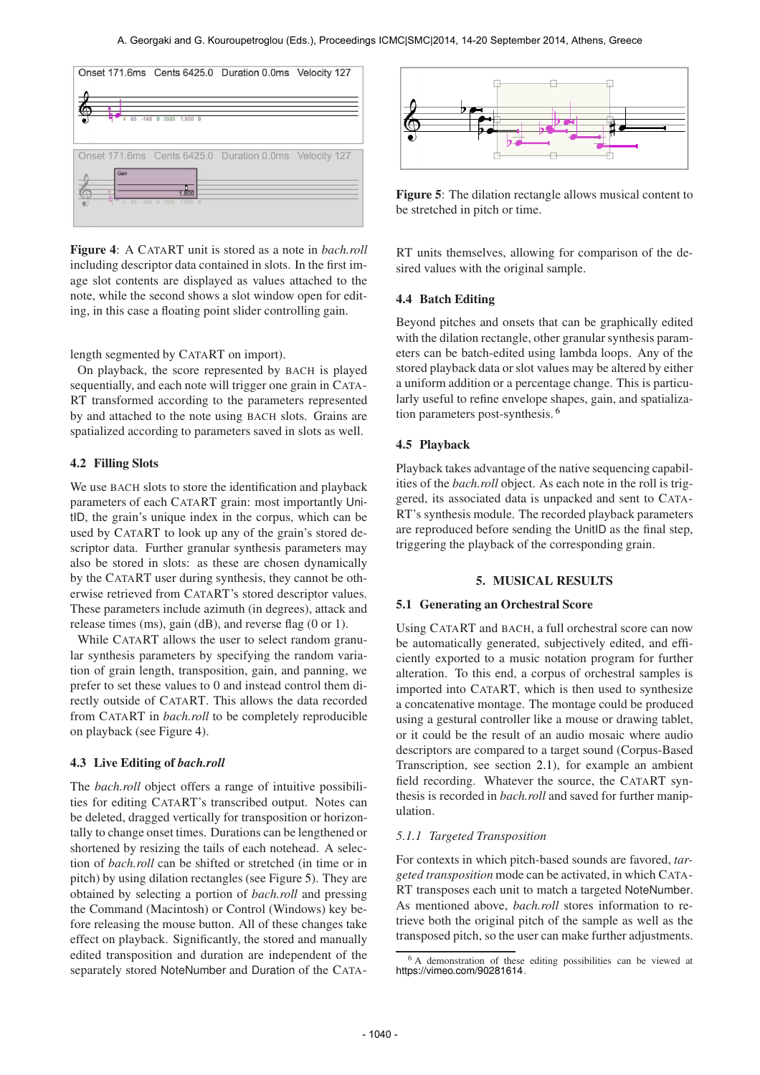

Figure 4: A CATART unit is stored as a note in *bach.roll* including descriptor data contained in slots. In the first image slot contents are displayed as values attached to the note, while the second shows a slot window open for editing, in this case a floating point slider controlling gain.

length segmented by CATART on import).

On playback, the score represented by BACH is played sequentially, and each note will trigger one grain in CATA-RT transformed according to the parameters represented by and attached to the note using BACH slots. Grains are spatialized according to parameters saved in slots as well.

## 4.2 Filling Slots

We use BACH slots to store the identification and playback parameters of each CATART grain: most importantly UnitID, the grain's unique index in the corpus, which can be used by CATART to look up any of the grain's stored descriptor data. Further granular synthesis parameters may also be stored in slots: as these are chosen dynamically by the CATART user during synthesis, they cannot be otherwise retrieved from CATART's stored descriptor values. These parameters include azimuth (in degrees), attack and release times (ms), gain (dB), and reverse flag (0 or 1).

While CATART allows the user to select random granular synthesis parameters by specifying the random variation of grain length, transposition, gain, and panning, we prefer to set these values to 0 and instead control them directly outside of CATART. This allows the data recorded from CATART in *bach.roll* to be completely reproducible on playback (see Figure 4).

## 4.3 Live Editing of *bach.roll*

The *bach.roll* object offers a range of intuitive possibilities for editing CATART's transcribed output. Notes can be deleted, dragged vertically for transposition or horizontally to change onset times. Durations can be lengthened or shortened by resizing the tails of each notehead. A selection of *bach.roll* can be shifted or stretched (in time or in pitch) by using dilation rectangles (see Figure 5). They are obtained by selecting a portion of *bach.roll* and pressing the Command (Macintosh) or Control (Windows) key before releasing the mouse button. All of these changes take effect on playback. Significantly, the stored and manually edited transposition and duration are independent of the separately stored NoteNumber and Duration of the CATA-



Figure 5: The dilation rectangle allows musical content to be stretched in pitch or time.

RT units themselves, allowing for comparison of the desired values with the original sample.

## 4.4 Batch Editing

Beyond pitches and onsets that can be graphically edited with the dilation rectangle, other granular synthesis parameters can be batch-edited using lambda loops. Any of the stored playback data or slot values may be altered by either a uniform addition or a percentage change. This is particularly useful to refine envelope shapes, gain, and spatialization parameters post-synthesis. <sup>6</sup>

## 4.5 Playback

Playback takes advantage of the native sequencing capabilities of the *bach.roll* object. As each note in the roll is triggered, its associated data is unpacked and sent to CATA-RT's synthesis module. The recorded playback parameters are reproduced before sending the UnitID as the final step, triggering the playback of the corresponding grain.

## 5. MUSICAL RESULTS

## 5.1 Generating an Orchestral Score

Using CATART and BACH, a full orchestral score can now be automatically generated, subjectively edited, and efficiently exported to a music notation program for further alteration. To this end, a corpus of orchestral samples is imported into CATART, which is then used to synthesize a concatenative montage. The montage could be produced using a gestural controller like a mouse or drawing tablet, or it could be the result of an audio mosaic where audio descriptors are compared to a target sound (Corpus-Based Transcription, see section 2.1), for example an ambient field recording. Whatever the source, the CATART synthesis is recorded in *bach.roll* and saved for further manipulation.

## *5.1.1 Targeted Transposition*

For contexts in which pitch-based sounds are favored, *targeted transposition* mode can be activated, in which CATA-RT transposes each unit to match a targeted NoteNumber. As mentioned above, *bach.roll* stores information to retrieve both the original pitch of the sample as well as the transposed pitch, so the user can make further adjustments.

<sup>6</sup> A demonstration of these editing possibilities can be viewed at <https://vimeo.com/90281614>.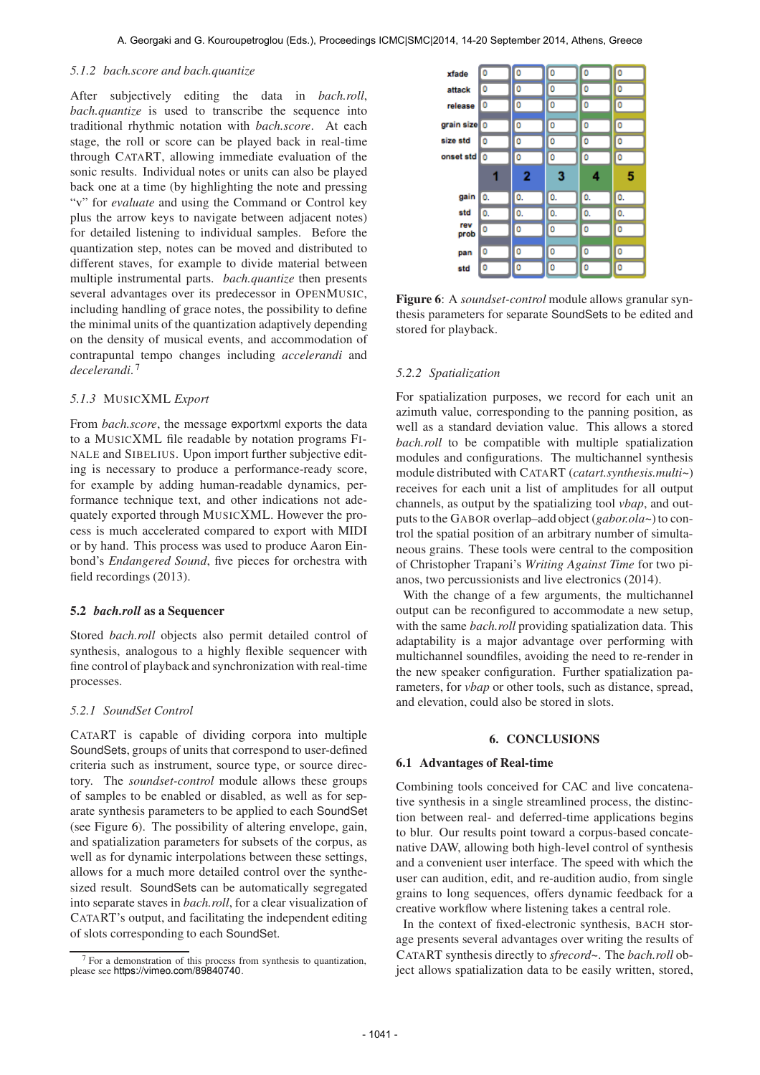## *5.1.2 bach.score and bach.quantize*

After subjectively editing the data in *bach.roll*, *bach.quantize* is used to transcribe the sequence into traditional rhythmic notation with *bach.score*. At each stage, the roll or score can be played back in real-time through CATART, allowing immediate evaluation of the sonic results. Individual notes or units can also be played back one at a time (by highlighting the note and pressing "v" for *evaluate* and using the Command or Control key plus the arrow keys to navigate between adjacent notes) for detailed listening to individual samples. Before the quantization step, notes can be moved and distributed to different staves, for example to divide material between multiple instrumental parts. *bach.quantize* then presents several advantages over its predecessor in OPENMUSIC, including handling of grace notes, the possibility to define the minimal units of the quantization adaptively depending on the density of musical events, and accommodation of contrapuntal tempo changes including *accelerandi* and *decelerandi*. 7

## *5.1.3* MUSICXML *Export*

From *bach.score*, the message exportxml exports the data to a MUSICXML file readable by notation programs FI-NALE and SIBELIUS. Upon import further subjective editing is necessary to produce a performance-ready score, for example by adding human-readable dynamics, performance technique text, and other indications not adequately exported through MUSICXML. However the process is much accelerated compared to export with MIDI or by hand. This process was used to produce Aaron Einbond's *Endangered Sound*, five pieces for orchestra with field recordings (2013).

## 5.2 *bach.roll* as a Sequencer

Stored *bach.roll* objects also permit detailed control of synthesis, analogous to a highly flexible sequencer with fine control of playback and synchronization with real-time processes.

## *5.2.1 SoundSet Control*

CATART is capable of dividing corpora into multiple SoundSets, groups of units that correspond to user-defined criteria such as instrument, source type, or source directory. The *soundset-control* module allows these groups of samples to be enabled or disabled, as well as for separate synthesis parameters to be applied to each SoundSet (see Figure 6). The possibility of altering envelope, gain, and spatialization parameters for subsets of the corpus, as well as for dynamic interpolations between these settings, allows for a much more detailed control over the synthesized result. SoundSets can be automatically segregated into separate staves in *bach.roll*, for a clear visualization of CATART's output, and facilitating the independent editing of slots corresponding to each SoundSet.



Figure 6: A *soundset-control* module allows granular synthesis parameters for separate SoundSets to be edited and stored for playback.

## *5.2.2 Spatialization*

For spatialization purposes, we record for each unit an azimuth value, corresponding to the panning position, as well as a standard deviation value. This allows a stored *bach.roll* to be compatible with multiple spatialization modules and configurations. The multichannel synthesis module distributed with CATART (*catart.synthesis.multi~*) receives for each unit a list of amplitudes for all output channels, as output by the spatializing tool *vbap*, and outputs to the GABOR overlap–add object (*gabor.ola~*) to control the spatial position of an arbitrary number of simultaneous grains. These tools were central to the composition of Christopher Trapani's *Writing Against Time* for two pianos, two percussionists and live electronics (2014).

With the change of a few arguments, the multichannel output can be reconfigured to accommodate a new setup, with the same *bach.roll* providing spatialization data. This adaptability is a major advantage over performing with multichannel soundfiles, avoiding the need to re-render in the new speaker configuration. Further spatialization parameters, for *vbap* or other tools, such as distance, spread, and elevation, could also be stored in slots.

## 6. CONCLUSIONS

## 6.1 Advantages of Real-time

Combining tools conceived for CAC and live concatenative synthesis in a single streamlined process, the distinction between real- and deferred-time applications begins to blur. Our results point toward a corpus-based concatenative DAW, allowing both high-level control of synthesis and a convenient user interface. The speed with which the user can audition, edit, and re-audition audio, from single grains to long sequences, offers dynamic feedback for a creative workflow where listening takes a central role.

In the context of fixed-electronic synthesis, BACH storage presents several advantages over writing the results of CATART synthesis directly to *sfrecord~*. The *bach.roll* object allows spatialization data to be easily written, stored,

 $7$  For a demonstration of this process from synthesis to quantization, please see <https://vimeo.com/89840740>.